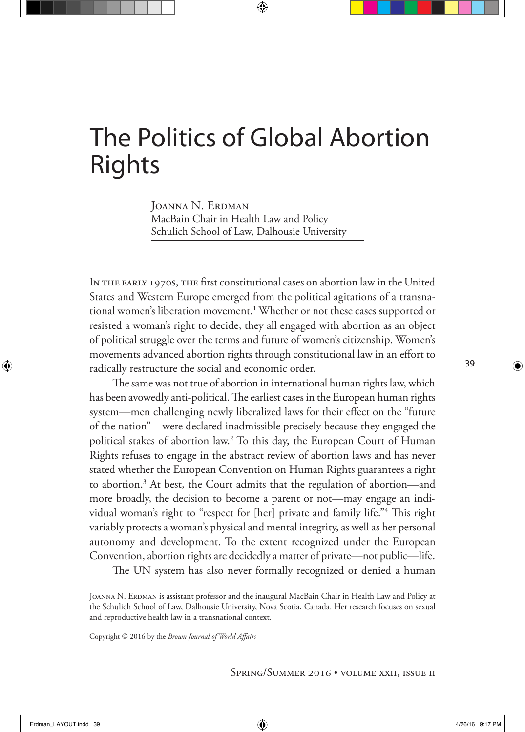Joanna N. Erdman MacBain Chair in Health Law and Policy Schulich School of Law, Dalhousie University

In the early 1970s, the first constitutional cases on abortion law in the United States and Western Europe emerged from the political agitations of a transnational women's liberation movement.1 Whether or not these cases supported or resisted a woman's right to decide, they all engaged with abortion as an object of political struggle over the terms and future of women's citizenship. Women's movements advanced abortion rights through constitutional law in an effort to radically restructure the social and economic order.

The same was not true of abortion in international human rights law, which has been avowedly anti-political. The earliest cases in the European human rights system—men challenging newly liberalized laws for their effect on the "future of the nation"—were declared inadmissible precisely because they engaged the political stakes of abortion law.2 To this day, the European Court of Human Rights refuses to engage in the abstract review of abortion laws and has never stated whether the European Convention on Human Rights guarantees a right to abortion.3 At best, the Court admits that the regulation of abortion—and more broadly, the decision to become a parent or not—may engage an individual woman's right to "respect for [her] private and family life."4 This right variably protects a woman's physical and mental integrity, as well as her personal autonomy and development. To the extent recognized under the European Convention, abortion rights are decidedly a matter of private—not public—life.

The UN system has also never formally recognized or denied a human

JOANNA N. ERDMAN is assistant professor and the inaugural MacBain Chair in Health Law and Policy at the Schulich School of Law, Dalhousie University, Nova Scotia, Canada. Her research focuses on sexual and reproductive health law in a transnational context.

Copyright © 2016 by the *Brown Journal of World Affairs*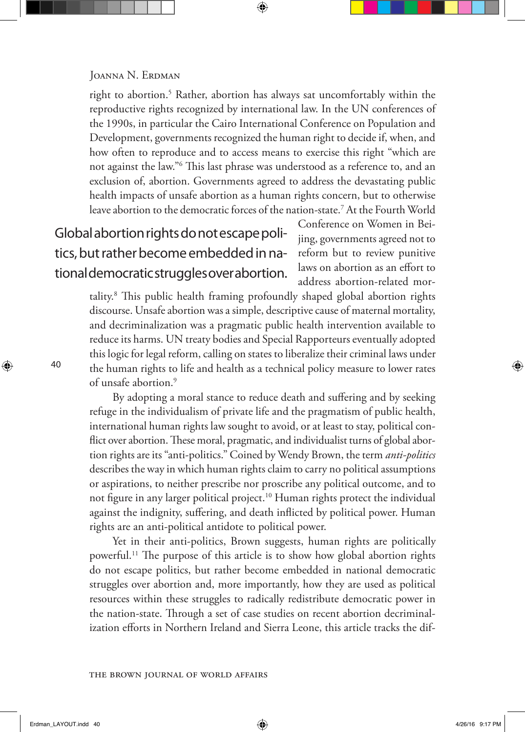right to abortion.5 Rather, abortion has always sat uncomfortably within the reproductive rights recognized by international law. In the UN conferences of the 1990s, in particular the Cairo International Conference on Population and Development, governments recognized the human right to decide if, when, and how often to reproduce and to access means to exercise this right "which are not against the law."6 This last phrase was understood as a reference to, and an exclusion of, abortion. Governments agreed to address the devastating public health impacts of unsafe abortion as a human rights concern, but to otherwise leave abortion to the democratic forces of the nation-state.7 At the Fourth World

# Global abortion rights do not escape politics, but rather become embedded in national democratic struggles over abortion.

Conference on Women in Beijing, governments agreed not to reform but to review punitive laws on abortion as an effort to address abortion-related mor-

tality.8 This public health framing profoundly shaped global abortion rights discourse. Unsafe abortion was a simple, descriptive cause of maternal mortality, and decriminalization was a pragmatic public health intervention available to reduce its harms. UN treaty bodies and Special Rapporteurs eventually adopted this logic for legal reform, calling on states to liberalize their criminal laws under the human rights to life and health as a technical policy measure to lower rates of unsafe abortion.<sup>9</sup>

By adopting a moral stance to reduce death and suffering and by seeking refuge in the individualism of private life and the pragmatism of public health, international human rights law sought to avoid, or at least to stay, political conflict over abortion. These moral, pragmatic, and individualist turns of global abortion rights are its "anti-politics." Coined by Wendy Brown, the term *anti-politics* describes the way in which human rights claim to carry no political assumptions or aspirations, to neither prescribe nor proscribe any political outcome, and to not figure in any larger political project.<sup>10</sup> Human rights protect the individual against the indignity, suffering, and death inflicted by political power. Human rights are an anti-political antidote to political power.

Yet in their anti-politics, Brown suggests, human rights are politically powerful.11 The purpose of this article is to show how global abortion rights do not escape politics, but rather become embedded in national democratic struggles over abortion and, more importantly, how they are used as political resources within these struggles to radically redistribute democratic power in the nation-state. Through a set of case studies on recent abortion decriminalization efforts in Northern Ireland and Sierra Leone, this article tracks the dif-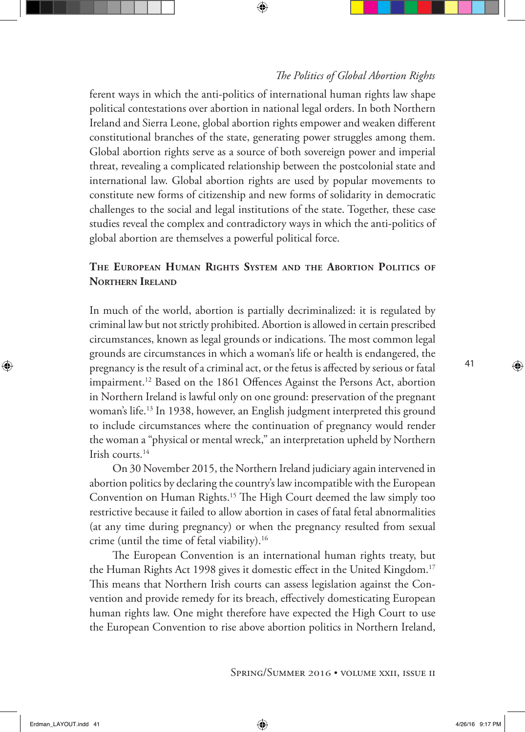ferent ways in which the anti-politics of international human rights law shape political contestations over abortion in national legal orders. In both Northern Ireland and Sierra Leone, global abortion rights empower and weaken different constitutional branches of the state, generating power struggles among them. Global abortion rights serve as a source of both sovereign power and imperial threat, revealing a complicated relationship between the postcolonial state and international law. Global abortion rights are used by popular movements to constitute new forms of citizenship and new forms of solidarity in democratic challenges to the social and legal institutions of the state. Together, these case studies reveal the complex and contradictory ways in which the anti-politics of global abortion are themselves a powerful political force.

# **The European Human Rights System and the Abortion Politics of Northern Ireland**

In much of the world, abortion is partially decriminalized: it is regulated by criminal law but not strictly prohibited. Abortion is allowed in certain prescribed circumstances, known as legal grounds or indications. The most common legal grounds are circumstances in which a woman's life or health is endangered, the pregnancy is the result of a criminal act, or the fetus is affected by serious or fatal impairment.<sup>12</sup> Based on the 1861 Offences Against the Persons Act, abortion in Northern Ireland is lawful only on one ground: preservation of the pregnant woman's life.13 In 1938, however, an English judgment interpreted this ground to include circumstances where the continuation of pregnancy would render the woman a "physical or mental wreck," an interpretation upheld by Northern Irish courts.14

On 30 November 2015, the Northern Ireland judiciary again intervened in abortion politics by declaring the country's law incompatible with the European Convention on Human Rights.15 The High Court deemed the law simply too restrictive because it failed to allow abortion in cases of fatal fetal abnormalities (at any time during pregnancy) or when the pregnancy resulted from sexual crime (until the time of fetal viability).16

The European Convention is an international human rights treaty, but the Human Rights Act 1998 gives it domestic effect in the United Kingdom.17 This means that Northern Irish courts can assess legislation against the Convention and provide remedy for its breach, effectively domesticating European human rights law. One might therefore have expected the High Court to use the European Convention to rise above abortion politics in Northern Ireland,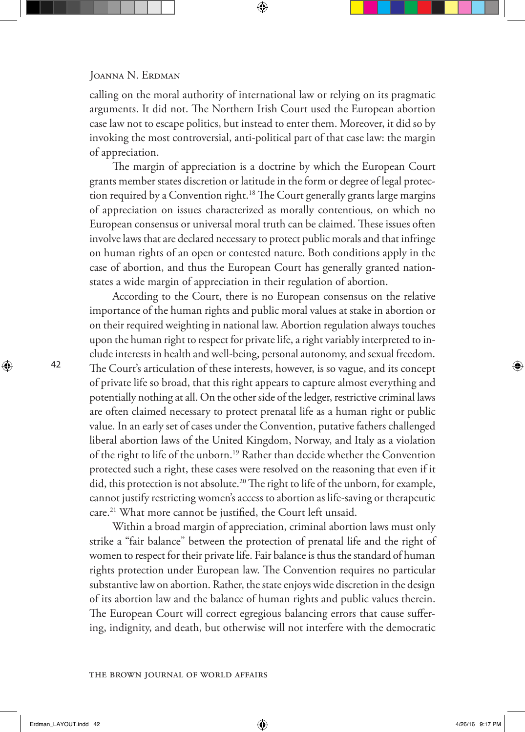calling on the moral authority of international law or relying on its pragmatic arguments. It did not. The Northern Irish Court used the European abortion case law not to escape politics, but instead to enter them. Moreover, it did so by invoking the most controversial, anti-political part of that case law: the margin of appreciation.

The margin of appreciation is a doctrine by which the European Court grants member states discretion or latitude in the form or degree of legal protection required by a Convention right.<sup>18</sup> The Court generally grants large margins of appreciation on issues characterized as morally contentious, on which no European consensus or universal moral truth can be claimed. These issues often involve laws that are declared necessary to protect public morals and that infringe on human rights of an open or contested nature. Both conditions apply in the case of abortion, and thus the European Court has generally granted nationstates a wide margin of appreciation in their regulation of abortion.

According to the Court, there is no European consensus on the relative importance of the human rights and public moral values at stake in abortion or on their required weighting in national law. Abortion regulation always touches upon the human right to respect for private life, a right variably interpreted to include interests in health and well-being, personal autonomy, and sexual freedom. The Court's articulation of these interests, however, is so vague, and its concept of private life so broad, that this right appears to capture almost everything and potentially nothing at all. On the other side of the ledger, restrictive criminal laws are often claimed necessary to protect prenatal life as a human right or public value. In an early set of cases under the Convention, putative fathers challenged liberal abortion laws of the United Kingdom, Norway, and Italy as a violation of the right to life of the unborn.19 Rather than decide whether the Convention protected such a right, these cases were resolved on the reasoning that even if it did, this protection is not absolute.<sup>20</sup> The right to life of the unborn, for example, cannot justify restricting women's access to abortion as life-saving or therapeutic care.21 What more cannot be justified, the Court left unsaid.

Within a broad margin of appreciation, criminal abortion laws must only strike a "fair balance" between the protection of prenatal life and the right of women to respect for their private life. Fair balance is thus the standard of human rights protection under European law. The Convention requires no particular substantive law on abortion. Rather, the state enjoys wide discretion in the design of its abortion law and the balance of human rights and public values therein. The European Court will correct egregious balancing errors that cause suffering, indignity, and death, but otherwise will not interfere with the democratic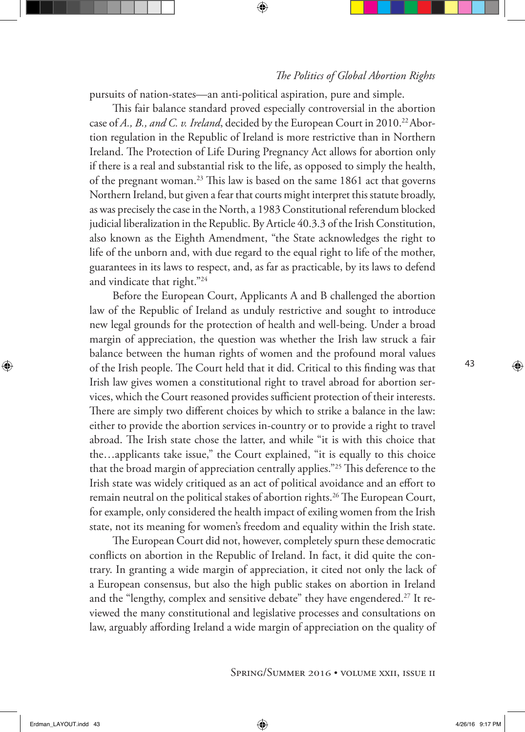pursuits of nation-states—an anti-political aspiration, pure and simple.

This fair balance standard proved especially controversial in the abortion case of *A., B., and C. v. Ireland*, decided by the European Court in 2010.<sup>22</sup> Abortion regulation in the Republic of Ireland is more restrictive than in Northern Ireland. The Protection of Life During Pregnancy Act allows for abortion only if there is a real and substantial risk to the life, as opposed to simply the health, of the pregnant woman.23 This law is based on the same 1861 act that governs Northern Ireland, but given a fear that courts might interpret this statute broadly, as was precisely the case in the North, a 1983 Constitutional referendum blocked judicial liberalization in the Republic. By Article 40.3.3 of the Irish Constitution, also known as the Eighth Amendment, "the State acknowledges the right to life of the unborn and, with due regard to the equal right to life of the mother, guarantees in its laws to respect, and, as far as practicable, by its laws to defend and vindicate that right."24

Before the European Court, Applicants A and B challenged the abortion law of the Republic of Ireland as unduly restrictive and sought to introduce new legal grounds for the protection of health and well-being. Under a broad margin of appreciation, the question was whether the Irish law struck a fair balance between the human rights of women and the profound moral values of the Irish people. The Court held that it did. Critical to this finding was that Irish law gives women a constitutional right to travel abroad for abortion services, which the Court reasoned provides sufficient protection of their interests. There are simply two different choices by which to strike a balance in the law: either to provide the abortion services in-country or to provide a right to travel abroad. The Irish state chose the latter, and while "it is with this choice that the…applicants take issue," the Court explained, "it is equally to this choice that the broad margin of appreciation centrally applies."25 This deference to the Irish state was widely critiqued as an act of political avoidance and an effort to remain neutral on the political stakes of abortion rights.<sup>26</sup> The European Court, for example, only considered the health impact of exiling women from the Irish state, not its meaning for women's freedom and equality within the Irish state.

The European Court did not, however, completely spurn these democratic conflicts on abortion in the Republic of Ireland. In fact, it did quite the contrary. In granting a wide margin of appreciation, it cited not only the lack of a European consensus, but also the high public stakes on abortion in Ireland and the "lengthy, complex and sensitive debate" they have engendered.<sup>27</sup> It reviewed the many constitutional and legislative processes and consultations on law, arguably affording Ireland a wide margin of appreciation on the quality of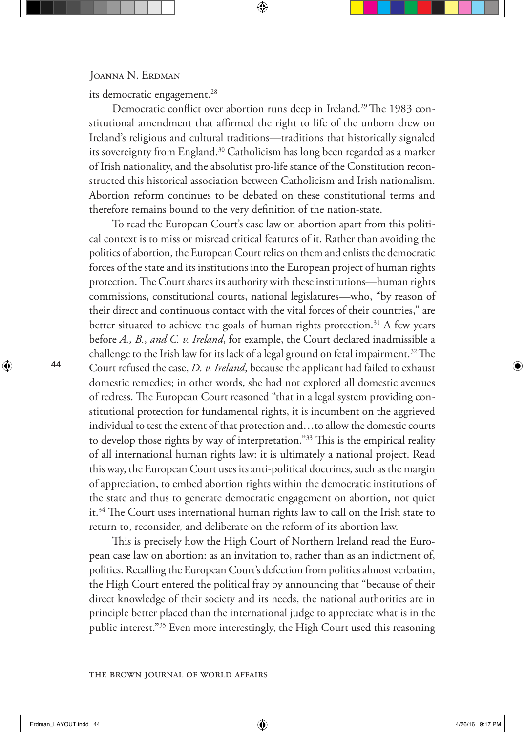#### JOANNA N. ERDMAN

its democratic engagement.<sup>28</sup>

Democratic conflict over abortion runs deep in Ireland.<sup>29</sup> The 1983 constitutional amendment that affirmed the right to life of the unborn drew on Ireland's religious and cultural traditions—traditions that historically signaled its sovereignty from England.<sup>30</sup> Catholicism has long been regarded as a marker of Irish nationality, and the absolutist pro-life stance of the Constitution reconstructed this historical association between Catholicism and Irish nationalism. Abortion reform continues to be debated on these constitutional terms and therefore remains bound to the very definition of the nation-state.

To read the European Court's case law on abortion apart from this political context is to miss or misread critical features of it. Rather than avoiding the politics of abortion, the European Court relies on them and enlists the democratic forces of the state and its institutions into the European project of human rights protection. The Court shares its authority with these institutions—human rights commissions, constitutional courts, national legislatures—who, "by reason of their direct and continuous contact with the vital forces of their countries," are better situated to achieve the goals of human rights protection.<sup>31</sup> A few years before *A., B., and C. v. Ireland*, for example, the Court declared inadmissible a challenge to the Irish law for its lack of a legal ground on fetal impairment.<sup>32</sup> The Court refused the case, *D. v. Ireland*, because the applicant had failed to exhaust domestic remedies; in other words, she had not explored all domestic avenues of redress. The European Court reasoned "that in a legal system providing constitutional protection for fundamental rights, it is incumbent on the aggrieved individual to test the extent of that protection and…to allow the domestic courts to develop those rights by way of interpretation."33 This is the empirical reality of all international human rights law: it is ultimately a national project. Read this way, the European Court uses its anti-political doctrines, such as the margin of appreciation, to embed abortion rights within the democratic institutions of the state and thus to generate democratic engagement on abortion, not quiet it.34 The Court uses international human rights law to call on the Irish state to return to, reconsider, and deliberate on the reform of its abortion law.

This is precisely how the High Court of Northern Ireland read the European case law on abortion: as an invitation to, rather than as an indictment of, politics. Recalling the European Court's defection from politics almost verbatim, the High Court entered the political fray by announcing that "because of their direct knowledge of their society and its needs, the national authorities are in principle better placed than the international judge to appreciate what is in the public interest."35 Even more interestingly, the High Court used this reasoning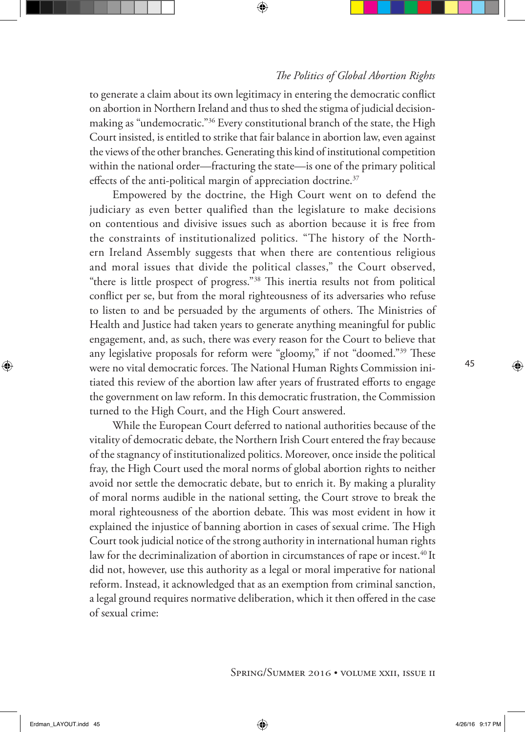to generate a claim about its own legitimacy in entering the democratic conflict on abortion in Northern Ireland and thus to shed the stigma of judicial decisionmaking as "undemocratic."36 Every constitutional branch of the state, the High Court insisted, is entitled to strike that fair balance in abortion law, even against the views of the other branches. Generating this kind of institutional competition within the national order—fracturing the state—is one of the primary political effects of the anti-political margin of appreciation doctrine.<sup>37</sup>

Empowered by the doctrine, the High Court went on to defend the judiciary as even better qualified than the legislature to make decisions on contentious and divisive issues such as abortion because it is free from the constraints of institutionalized politics. "The history of the Northern Ireland Assembly suggests that when there are contentious religious and moral issues that divide the political classes," the Court observed, "there is little prospect of progress."38 This inertia results not from political conflict per se, but from the moral righteousness of its adversaries who refuse to listen to and be persuaded by the arguments of others. The Ministries of Health and Justice had taken years to generate anything meaningful for public engagement, and, as such, there was every reason for the Court to believe that any legislative proposals for reform were "gloomy," if not "doomed."39 These were no vital democratic forces. The National Human Rights Commission initiated this review of the abortion law after years of frustrated efforts to engage the government on law reform. In this democratic frustration, the Commission turned to the High Court, and the High Court answered.

While the European Court deferred to national authorities because of the vitality of democratic debate, the Northern Irish Court entered the fray because of the stagnancy of institutionalized politics. Moreover, once inside the political fray, the High Court used the moral norms of global abortion rights to neither avoid nor settle the democratic debate, but to enrich it. By making a plurality of moral norms audible in the national setting, the Court strove to break the moral righteousness of the abortion debate. This was most evident in how it explained the injustice of banning abortion in cases of sexual crime. The High Court took judicial notice of the strong authority in international human rights law for the decriminalization of abortion in circumstances of rape or incest.<sup>40</sup> It did not, however, use this authority as a legal or moral imperative for national reform. Instead, it acknowledged that as an exemption from criminal sanction, a legal ground requires normative deliberation, which it then offered in the case of sexual crime: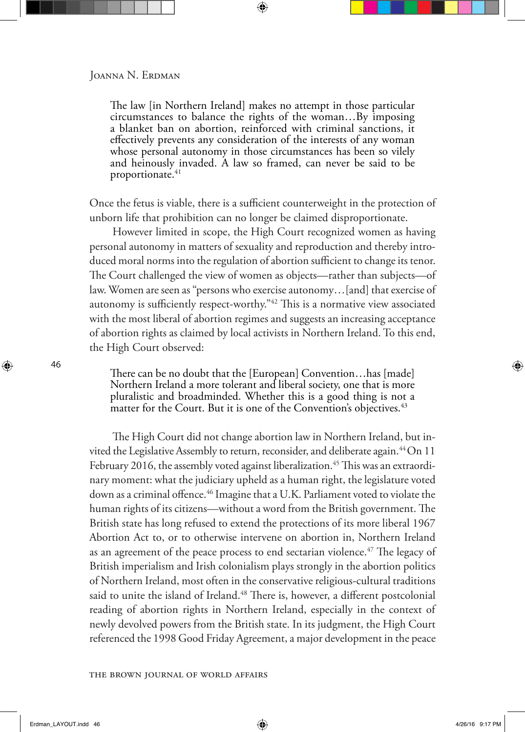The law [in Northern Ireland] makes no attempt in those particular circumstances to balance the rights of the woman…By imposing a blanket ban on abortion, reinforced with criminal sanctions, it effectively prevents any consideration of the interests of any woman whose personal autonomy in those circumstances has been so vilely and heinously invaded. A law so framed, can never be said to be proportionate.<sup>41</sup>

Once the fetus is viable, there is a sufficient counterweight in the protection of unborn life that prohibition can no longer be claimed disproportionate.

However limited in scope, the High Court recognized women as having personal autonomy in matters of sexuality and reproduction and thereby introduced moral norms into the regulation of abortion sufficient to change its tenor. The Court challenged the view of women as objects—rather than subjects—of law. Women are seen as "persons who exercise autonomy…[and] that exercise of autonomy is sufficiently respect-worthy."42 This is a normative view associated with the most liberal of abortion regimes and suggests an increasing acceptance of abortion rights as claimed by local activists in Northern Ireland. To this end, the High Court observed:

There can be no doubt that the [European] Convention…has [made] Northern Ireland a more tolerant and liberal society, one that is more pluralistic and broadminded. Whether this is a good thing is not a matter for the Court. But it is one of the Convention's objectives.<sup>43</sup>

The High Court did not change abortion law in Northern Ireland, but invited the Legislative Assembly to return, reconsider, and deliberate again.<sup>44</sup>On 11 February 2016, the assembly voted against liberalization.<sup>45</sup> This was an extraordinary moment: what the judiciary upheld as a human right, the legislature voted down as a criminal offence.<sup>46</sup> Imagine that a U.K. Parliament voted to violate the human rights of its citizens—without a word from the British government. The British state has long refused to extend the protections of its more liberal 1967 Abortion Act to, or to otherwise intervene on abortion in, Northern Ireland as an agreement of the peace process to end sectarian violence.<sup>47</sup> The legacy of British imperialism and Irish colonialism plays strongly in the abortion politics of Northern Ireland, most often in the conservative religious-cultural traditions said to unite the island of Ireland.<sup>48</sup> There is, however, a different postcolonial reading of abortion rights in Northern Ireland, especially in the context of newly devolved powers from the British state. In its judgment, the High Court referenced the 1998 Good Friday Agreement, a major development in the peace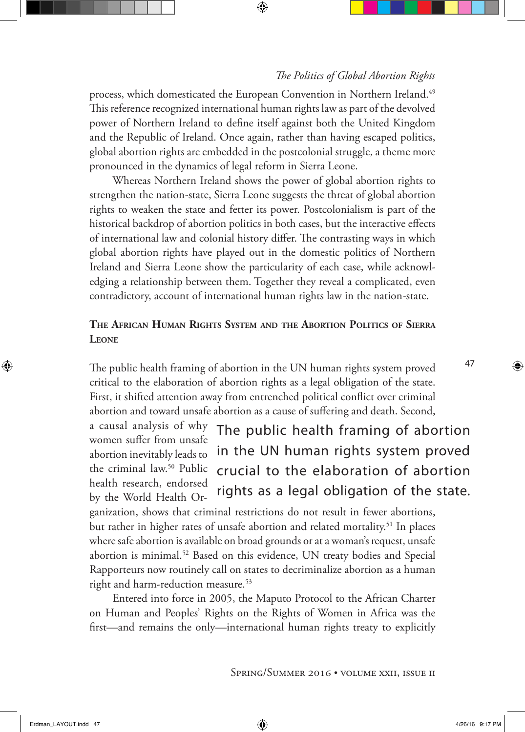process, which domesticated the European Convention in Northern Ireland.<sup>49</sup> This reference recognized international human rights law as part of the devolved power of Northern Ireland to define itself against both the United Kingdom and the Republic of Ireland. Once again, rather than having escaped politics, global abortion rights are embedded in the postcolonial struggle, a theme more pronounced in the dynamics of legal reform in Sierra Leone.

Whereas Northern Ireland shows the power of global abortion rights to strengthen the nation-state, Sierra Leone suggests the threat of global abortion rights to weaken the state and fetter its power. Postcolonialism is part of the historical backdrop of abortion politics in both cases, but the interactive effects of international law and colonial history differ. The contrasting ways in which global abortion rights have played out in the domestic politics of Northern Ireland and Sierra Leone show the particularity of each case, while acknowledging a relationship between them. Together they reveal a complicated, even contradictory, account of international human rights law in the nation-state.

## **The African Human Rights System and the Abortion Politics of Sierra Leone**

The public health framing of abortion in the UN human rights system proved critical to the elaboration of abortion rights as a legal obligation of the state. First, it shifted attention away from entrenched political conflict over criminal abortion and toward unsafe abortion as a cause of suffering and death. Second,

a causal analysis of why women suffer from unsafe abortion inevitably leads to the criminal law.<sup>50</sup> Public health research, endorsed by the World Health Or-The public health framing of abortion in the UN human rights system proved crucial to the elaboration of abortion rights as a legal obligation of the state.

ganization, shows that criminal restrictions do not result in fewer abortions, but rather in higher rates of unsafe abortion and related mortality.<sup>51</sup> In places where safe abortion is available on broad grounds or at a woman's request, unsafe abortion is minimal.52 Based on this evidence, UN treaty bodies and Special Rapporteurs now routinely call on states to decriminalize abortion as a human right and harm-reduction measure.<sup>53</sup>

Entered into force in 2005, the Maputo Protocol to the African Charter on Human and Peoples' Rights on the Rights of Women in Africa was the first—and remains the only—international human rights treaty to explicitly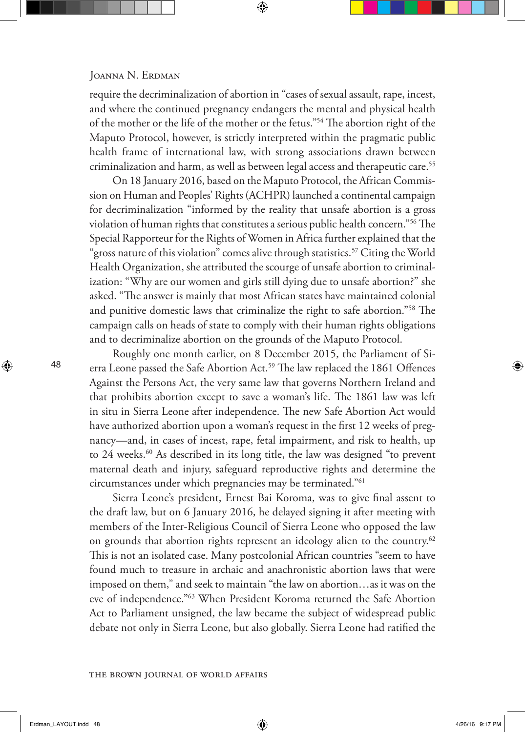require the decriminalization of abortion in "cases of sexual assault, rape, incest, and where the continued pregnancy endangers the mental and physical health of the mother or the life of the mother or the fetus."54 The abortion right of the Maputo Protocol, however, is strictly interpreted within the pragmatic public health frame of international law, with strong associations drawn between criminalization and harm, as well as between legal access and therapeutic care.<sup>55</sup>

On 18 January 2016, based on the Maputo Protocol, the African Commission on Human and Peoples' Rights (ACHPR) launched a continental campaign for decriminalization "informed by the reality that unsafe abortion is a gross violation of human rights that constitutes a serious public health concern."56 The Special Rapporteur for the Rights of Women in Africa further explained that the "gross nature of this violation" comes alive through statistics.<sup>57</sup> Citing the World Health Organization, she attributed the scourge of unsafe abortion to criminalization: "Why are our women and girls still dying due to unsafe abortion?" she asked. "The answer is mainly that most African states have maintained colonial and punitive domestic laws that criminalize the right to safe abortion."58 The campaign calls on heads of state to comply with their human rights obligations and to decriminalize abortion on the grounds of the Maputo Protocol.

Roughly one month earlier, on 8 December 2015, the Parliament of Sierra Leone passed the Safe Abortion Act.<sup>59</sup> The law replaced the 1861 Offences Against the Persons Act, the very same law that governs Northern Ireland and that prohibits abortion except to save a woman's life. The 1861 law was left in situ in Sierra Leone after independence. The new Safe Abortion Act would have authorized abortion upon a woman's request in the first 12 weeks of pregnancy—and, in cases of incest, rape, fetal impairment, and risk to health, up to 24 weeks.<sup>60</sup> As described in its long title, the law was designed "to prevent maternal death and injury, safeguard reproductive rights and determine the circumstances under which pregnancies may be terminated."61

Sierra Leone's president, Ernest Bai Koroma, was to give final assent to the draft law, but on 6 January 2016, he delayed signing it after meeting with members of the Inter-Religious Council of Sierra Leone who opposed the law on grounds that abortion rights represent an ideology alien to the country.<sup>62</sup> This is not an isolated case. Many postcolonial African countries "seem to have found much to treasure in archaic and anachronistic abortion laws that were imposed on them," and seek to maintain "the law on abortion…as it was on the eve of independence."63 When President Koroma returned the Safe Abortion Act to Parliament unsigned, the law became the subject of widespread public debate not only in Sierra Leone, but also globally. Sierra Leone had ratified the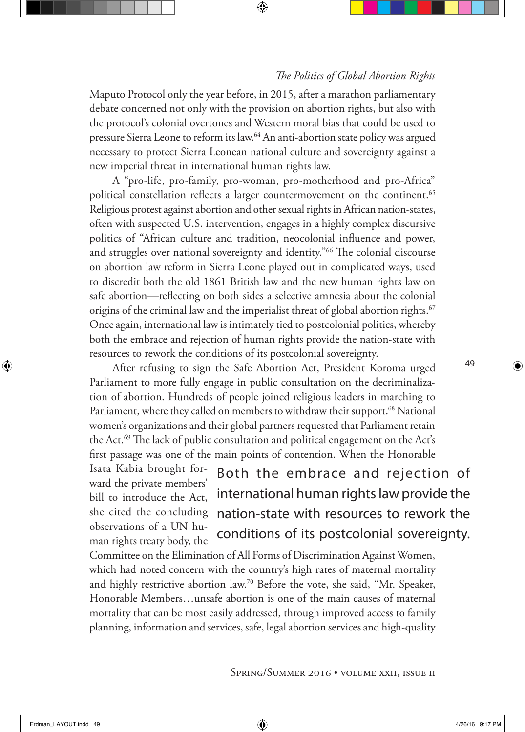Maputo Protocol only the year before, in 2015, after a marathon parliamentary debate concerned not only with the provision on abortion rights, but also with the protocol's colonial overtones and Western moral bias that could be used to pressure Sierra Leone to reform its law.64 An anti-abortion state policy was argued necessary to protect Sierra Leonean national culture and sovereignty against a new imperial threat in international human rights law.

A "pro-life, pro-family, pro-woman, pro-motherhood and pro-Africa" political constellation reflects a larger countermovement on the continent.<sup>65</sup> Religious protest against abortion and other sexual rights in African nation-states, often with suspected U.S. intervention, engages in a highly complex discursive politics of "African culture and tradition, neocolonial influence and power, and struggles over national sovereignty and identity."<sup>66</sup> The colonial discourse on abortion law reform in Sierra Leone played out in complicated ways, used to discredit both the old 1861 British law and the new human rights law on safe abortion—reflecting on both sides a selective amnesia about the colonial origins of the criminal law and the imperialist threat of global abortion rights.<sup>67</sup> Once again, international law is intimately tied to postcolonial politics, whereby both the embrace and rejection of human rights provide the nation-state with resources to rework the conditions of its postcolonial sovereignty.

After refusing to sign the Safe Abortion Act, President Koroma urged Parliament to more fully engage in public consultation on the decriminalization of abortion. Hundreds of people joined religious leaders in marching to Parliament, where they called on members to withdraw their support.<sup>68</sup> National women's organizations and their global partners requested that Parliament retain the Act.<sup>69</sup> The lack of public consultation and political engagement on the Act's first passage was one of the main points of contention. When the Honorable Isata Kabia brought for-

ward the private members' bill to introduce the Act, she cited the concluding observations of a UN human rights treaty body, the

Both the embrace and rejection of international human rights law provide the nation-state with resources to rework the conditions of its postcolonial sovereignty.

Committee on the Elimination of All Forms of Discrimination Against Women, which had noted concern with the country's high rates of maternal mortality and highly restrictive abortion law.70 Before the vote, she said, "Mr. Speaker, Honorable Members…unsafe abortion is one of the main causes of maternal mortality that can be most easily addressed, through improved access to family planning, information and services, safe, legal abortion services and high-quality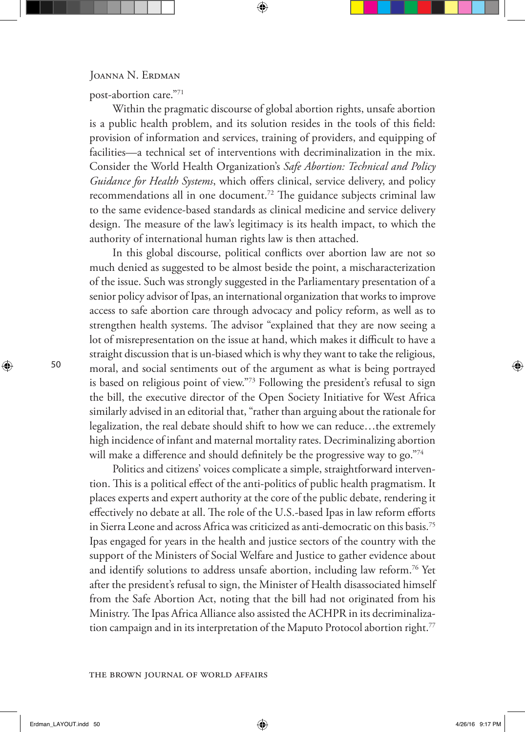post-abortion care."71

Within the pragmatic discourse of global abortion rights, unsafe abortion is a public health problem, and its solution resides in the tools of this field: provision of information and services, training of providers, and equipping of facilities—a technical set of interventions with decriminalization in the mix. Consider the World Health Organization's *Safe Abortion: Technical and Policy Guidance for Health Systems*, which offers clinical, service delivery, and policy recommendations all in one document.72 The guidance subjects criminal law to the same evidence-based standards as clinical medicine and service delivery design. The measure of the law's legitimacy is its health impact, to which the authority of international human rights law is then attached.

In this global discourse, political conflicts over abortion law are not so much denied as suggested to be almost beside the point, a mischaracterization of the issue. Such was strongly suggested in the Parliamentary presentation of a senior policy advisor of Ipas, an international organization that works to improve access to safe abortion care through advocacy and policy reform, as well as to strengthen health systems. The advisor "explained that they are now seeing a lot of misrepresentation on the issue at hand, which makes it difficult to have a straight discussion that is un-biased which is why they want to take the religious, moral, and social sentiments out of the argument as what is being portrayed is based on religious point of view."73 Following the president's refusal to sign the bill, the executive director of the Open Society Initiative for West Africa similarly advised in an editorial that, "rather than arguing about the rationale for legalization, the real debate should shift to how we can reduce…the extremely high incidence of infant and maternal mortality rates. Decriminalizing abortion will make a difference and should definitely be the progressive way to go."74

Politics and citizens' voices complicate a simple, straightforward intervention. This is a political effect of the anti-politics of public health pragmatism. It places experts and expert authority at the core of the public debate, rendering it effectively no debate at all. The role of the U.S.-based Ipas in law reform efforts in Sierra Leone and across Africa was criticized as anti-democratic on this basis.75 Ipas engaged for years in the health and justice sectors of the country with the support of the Ministers of Social Welfare and Justice to gather evidence about and identify solutions to address unsafe abortion, including law reform.76 Yet after the president's refusal to sign, the Minister of Health disassociated himself from the Safe Abortion Act, noting that the bill had not originated from his Ministry. The Ipas Africa Alliance also assisted the ACHPR in its decriminalization campaign and in its interpretation of the Maputo Protocol abortion right.<sup>77</sup>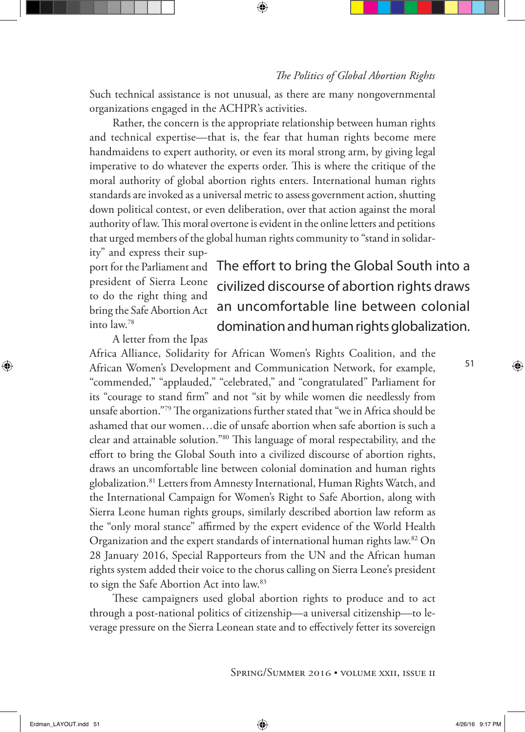Such technical assistance is not unusual, as there are many nongovernmental organizations engaged in the ACHPR's activities.

Rather, the concern is the appropriate relationship between human rights and technical expertise—that is, the fear that human rights become mere handmaidens to expert authority, or even its moral strong arm, by giving legal imperative to do whatever the experts order. This is where the critique of the moral authority of global abortion rights enters. International human rights standards are invoked as a universal metric to assess government action, shutting down political contest, or even deliberation, over that action against the moral authority of law. This moral overtone is evident in the online letters and petitions that urged members of the global human rights community to "stand in solidar-

ity" and express their support for the Parliament and president of Sierra Leone to do the right thing and bring the Safe Abortion Act into law.78

# The effort to bring the Global South into a civilized discourse of abortion rights draws an uncomfortable line between colonial domination and human rights globalization.

A letter from the Ipas

Africa Alliance, Solidarity for African Women's Rights Coalition, and the African Women's Development and Communication Network, for example, "commended," "applauded," "celebrated," and "congratulated" Parliament for its "courage to stand firm" and not "sit by while women die needlessly from unsafe abortion."79 The organizations further stated that "we in Africa should be ashamed that our women…die of unsafe abortion when safe abortion is such a clear and attainable solution."80 This language of moral respectability, and the effort to bring the Global South into a civilized discourse of abortion rights, draws an uncomfortable line between colonial domination and human rights globalization.81 Letters from Amnesty International, Human Rights Watch, and the International Campaign for Women's Right to Safe Abortion, along with Sierra Leone human rights groups, similarly described abortion law reform as the "only moral stance" affirmed by the expert evidence of the World Health Organization and the expert standards of international human rights law.<sup>82</sup> On 28 January 2016, Special Rapporteurs from the UN and the African human rights system added their voice to the chorus calling on Sierra Leone's president to sign the Safe Abortion Act into law.83

These campaigners used global abortion rights to produce and to act through a post-national politics of citizenship—a universal citizenship—to leverage pressure on the Sierra Leonean state and to effectively fetter its sovereign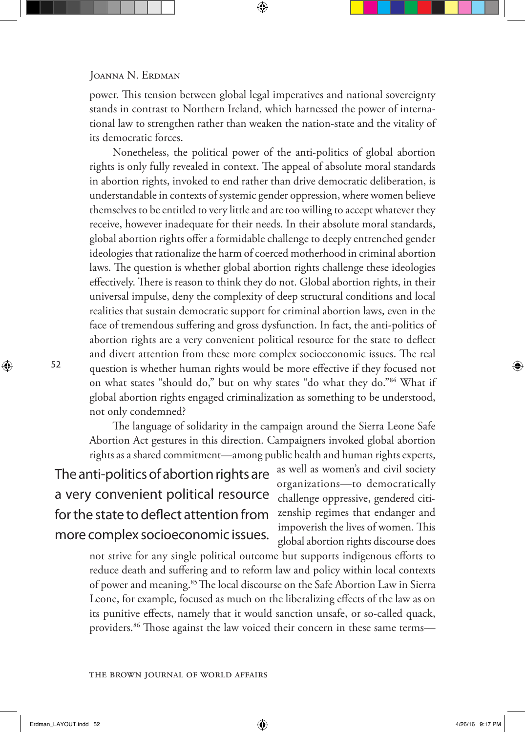power. This tension between global legal imperatives and national sovereignty stands in contrast to Northern Ireland, which harnessed the power of international law to strengthen rather than weaken the nation-state and the vitality of its democratic forces.

Nonetheless, the political power of the anti-politics of global abortion rights is only fully revealed in context. The appeal of absolute moral standards in abortion rights, invoked to end rather than drive democratic deliberation, is understandable in contexts of systemic gender oppression, where women believe themselves to be entitled to very little and are too willing to accept whatever they receive, however inadequate for their needs. In their absolute moral standards, global abortion rights offer a formidable challenge to deeply entrenched gender ideologies that rationalize the harm of coerced motherhood in criminal abortion laws. The question is whether global abortion rights challenge these ideologies effectively. There is reason to think they do not. Global abortion rights, in their universal impulse, deny the complexity of deep structural conditions and local realities that sustain democratic support for criminal abortion laws, even in the face of tremendous suffering and gross dysfunction. In fact, the anti-politics of abortion rights are a very convenient political resource for the state to deflect and divert attention from these more complex socioeconomic issues. The real question is whether human rights would be more effective if they focused not on what states "should do," but on why states "do what they do."84 What if global abortion rights engaged criminalization as something to be understood, not only condemned?

The language of solidarity in the campaign around the Sierra Leone Safe Abortion Act gestures in this direction. Campaigners invoked global abortion rights as a shared commitment—among public health and human rights experts,

The anti-politics of abortion rights are a very convenient political resource for the state to deflect attention from more complex socioeconomic issues.

as well as women's and civil society organizations—to democratically challenge oppressive, gendered citizenship regimes that endanger and impoverish the lives of women. This global abortion rights discourse does

not strive for any single political outcome but supports indigenous efforts to reduce death and suffering and to reform law and policy within local contexts of power and meaning.<sup>85</sup> The local discourse on the Safe Abortion Law in Sierra Leone, for example, focused as much on the liberalizing effects of the law as on its punitive effects, namely that it would sanction unsafe, or so-called quack, providers.86 Those against the law voiced their concern in these same terms—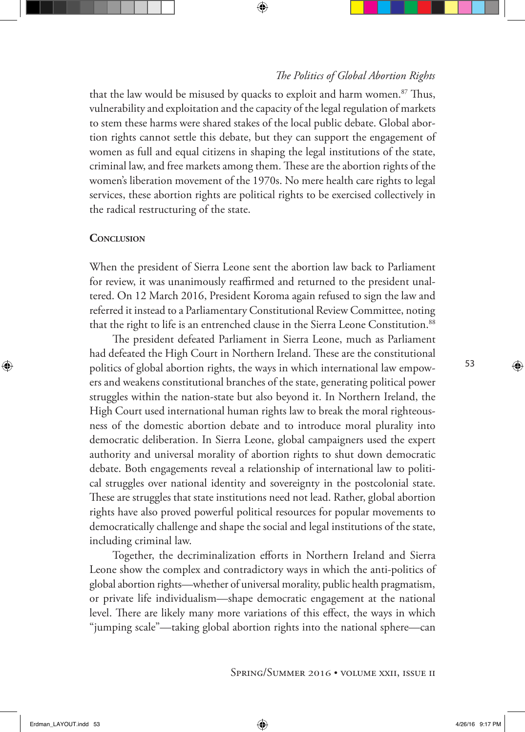that the law would be misused by quacks to exploit and harm women. $87$  Thus, vulnerability and exploitation and the capacity of the legal regulation of markets to stem these harms were shared stakes of the local public debate. Global abortion rights cannot settle this debate, but they can support the engagement of women as full and equal citizens in shaping the legal institutions of the state, criminal law, and free markets among them. These are the abortion rights of the women's liberation movement of the 1970s. No mere health care rights to legal services, these abortion rights are political rights to be exercised collectively in the radical restructuring of the state.

#### **Conclusion**

When the president of Sierra Leone sent the abortion law back to Parliament for review, it was unanimously reaffirmed and returned to the president unaltered. On 12 March 2016, President Koroma again refused to sign the law and referred it instead to a Parliamentary Constitutional Review Committee, noting that the right to life is an entrenched clause in the Sierra Leone Constitution.<sup>88</sup>

The president defeated Parliament in Sierra Leone, much as Parliament had defeated the High Court in Northern Ireland. These are the constitutional politics of global abortion rights, the ways in which international law empowers and weakens constitutional branches of the state, generating political power struggles within the nation-state but also beyond it. In Northern Ireland, the High Court used international human rights law to break the moral righteousness of the domestic abortion debate and to introduce moral plurality into democratic deliberation. In Sierra Leone, global campaigners used the expert authority and universal morality of abortion rights to shut down democratic debate. Both engagements reveal a relationship of international law to political struggles over national identity and sovereignty in the postcolonial state. These are struggles that state institutions need not lead. Rather, global abortion rights have also proved powerful political resources for popular movements to democratically challenge and shape the social and legal institutions of the state, including criminal law.

Together, the decriminalization efforts in Northern Ireland and Sierra Leone show the complex and contradictory ways in which the anti-politics of global abortion rights—whether of universal morality, public health pragmatism, or private life individualism—shape democratic engagement at the national level. There are likely many more variations of this effect, the ways in which "jumping scale"—taking global abortion rights into the national sphere—can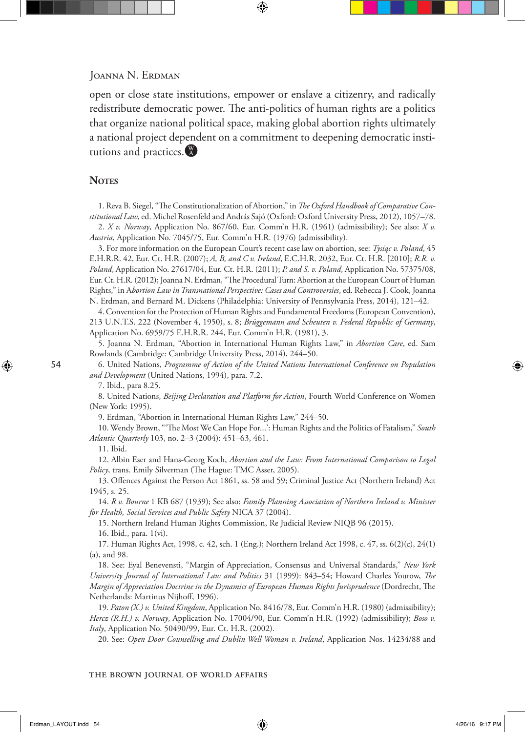#### JOANNA N. ERDMAN

open or close state institutions, empower or enslave a citizenry, and radically redistribute democratic power. The anti-politics of human rights are a politics that organize national political space, making global abortion rights ultimately a national project dependent on a commitment to deepening democratic institutions and practices.

#### **NOTES**

1. Reva B. Siegel, "The Constitutionalization of Abortion," in *The Oxford Handbook of Comparative Constitutional Law*, ed. Michel Rosenfeld and András Sajó (Oxford: Oxford University Press, 2012), 1057–78. 2. *X v. Norway*, Application No. 867/60, Eur. Comm'n H.R. (1961) (admissibility); See also: *X v.* 

*Austria*, Application No. 7045/75, Eur. Comm'n H.R. (1976) (admissibility).

3. For more information on the European Court's recent case law on abortion, see: *Tysiąc v. Poland*, 45 E.H.R.R. 42, Eur. Ct. H.R. (2007); *A, B, and C v. Ireland*, E.C.H.R. 2032, Eur. Ct. H.R. [2010]; *R.R. v. Poland*, Application No. 27617/04, Eur. Ct. H.R. (2011); *P. and S. v. Poland*, Application No. 57375/08, Eur. Ct. H.R. (2012); Joanna N. Erdman, "The Procedural Turn: Abortion at the European Court of Human Rights," in A*bortion Law in Transnational Perspective: Cases and Controversies*, ed. Rebecca J. Cook, Joanna N. Erdman, and Bernard M. Dickens (Philadelphia: University of Pennsylvania Press, 2014), 121–42.

4. Convention for the Protection of Human Rights and Fundamental Freedoms (European Convention), 213 U.N.T.S. 222 (November 4, 1950), s. 8; *Brüggemann and Scheuten v. Federal Republic of Germany*, Application No. 6959/75 E.H.R.R. 244, Eur. Comm'n H.R. (1981), 3.

5. Joanna N. Erdman, "Abortion in International Human Rights Law," in *Abortion Care*, ed. Sam Rowlands (Cambridge: Cambridge University Press, 2014), 244–50.

6. United Nations, *Programme of Action of the United Nations International Conference on Population and Development* (United Nations, 1994), para. 7.2.

7. Ibid., para 8.25.

8. United Nations, *Beijing Declaration and Platform for Action*, Fourth World Conference on Women (New York: 1995).

9. Erdman, "Abortion in International Human Rights Law," 244–50.

10. Wendy Brown, "'The Most We Can Hope For...': Human Rights and the Politics of Fatalism," *South Atlantic Quarterly* 103, no. 2–3 (2004): 451–63, 461.

11. Ibid.

12. Albin Eser and Hans-Georg Koch, *Abortion and the Law: From International Comparison to Legal Policy*, trans. Emily Silverman (The Hague: TMC Asser, 2005).

13. Offences Against the Person Act 1861, ss. 58 and 59; Criminal Justice Act (Northern Ireland) Act 1945, s. 25.

14. *R v. Bourne* 1 KB 687 (1939); See also: *Family Planning Association of Northern Ireland v. Minister for Health, Social Services and Public Safety* NICA 37 (2004).

15. Northern Ireland Human Rights Commission, Re Judicial Review NIQB 96 (2015).

16. Ibid., para. 1(vi).

17. Human Rights Act, 1998, c. 42, sch. 1 (Eng.); Northern Ireland Act 1998, c. 47, ss. 6(2)(c), 24(1) (a), and 98.

18. See: Eyal Benevensti, "Margin of Appreciation, Consensus and Universal Standards," *New York University Journal of International Law and Politics* 31 (1999): 843–54; Howard Charles Yourow, *The Margin of Appreciation Doctrine in the Dynamics of European Human Rights Jurisprudence* (Dordrecht, The Netherlands: Martinus Nijhoff, 1996).

19. *Paton (X.) v. United Kingdom*, Application No. 8416/78, Eur. Comm'n H.R. (1980) (admissibility); *Hercz (R.H.) v. Norway*, Application No. 17004/90, Eur. Comm'n H.R. (1992) (admissibility); *Boso v. Italy*, Application No. 50490/99, Eur. Ct. H.R. (2002).

20. See: *Open Door Counselling and Dublin Well Woman v. Ireland*, Application Nos. 14234/88 and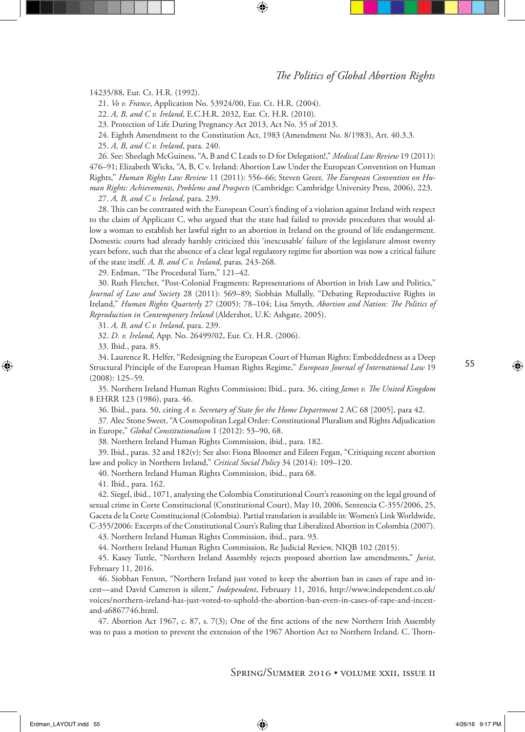14235/88, Eur. Ct. H.R. (1992).

21. *Vo v. France*, Application No. 53924/00, Eur. Ct. H.R. (2004).

22. *A, B, and C v. Ireland*, E.C.H.R. 2032, Eur. Ct. H.R. (2010).

23. Protection of Life During Pregnancy Act 2013, Act No. 35 of 2013.

24. Eighth Amendment to the Constitution Act, 1983 (Amendment No. 8/1983), Art. 40.3.3.

25. *A, B, and C v. Ireland*, para. 240.

26. See: Sheelagh McGuiness, "A, B and C Leads to D for Delegation!," *Medical Law Review* 19 (2011): 476–91; Elizabeth Wicks, "A, B, C v. Ireland: Abortion Law Under the European Convention on Human Rights," *Human Rights Law Review* 11 (2011): 556–66; Steven Greer, *The European Convention on Human Rights: Achievements, Problems and Prospects* (Cambridge: Cambridge University Press, 2006), 223.

27. *A, B, and C v. Ireland*, para. 239.

28. This can be contrasted with the European Court's finding of a violation against Ireland with respect to the claim of Applicant C, who argued that the state had failed to provide procedures that would allow a woman to establish her lawful right to an abortion in Ireland on the ground of life endangerment. Domestic courts had already harshly criticized this 'inexcusable' failure of the legislature almost twenty years before, such that the absence of a clear legal regulatory regime for abortion was now a critical failure of the state itself. *A, B, and C v. Ireland*, paras. 243-268.

29. Erdman, "The Procedural Turn," 121–42.

30. Ruth Fletcher, "Post-Colonial Fragments: Representations of Abortion in Irish Law and Politics," *Journal of Law and Society* 28 (2011): 569–89; Siobhán Mullally, "Debating Reproductive Rights in Ireland," *Human Rights Quarterly* 27 (2005): 78–104; Lisa Smyth, *Abortion and Nation: The Politics of Reproduction in Contemporary Ireland* (Aldershot, U.K: Ashgate, 2005).

31. *A, B, and C v. Ireland*, para. 239.

32. *D. v. Ireland*, App. No. 26499/02, Eur. Ct. H.R. (2006).

33. Ibid., para. 85.

34. Laurence R. Helfer, "Redesigning the European Court of Human Rights: Embeddedness as a Deep Structural Principle of the European Human Rights Regime," *European Journal of International Law* 19 (2008): 125–59.

35. Northern Ireland Human Rights Commission; Ibid., para. 36, citing *James v. The United Kingdom*  8 EHRR 123 (1986), para. 46.

36. Ibid., para. 50, citing *A v. Secretary of State for the Home Department* 2 AC 68 [2005], para 42.

37. Alec Stone Sweet, "A Cosmopolitan Legal Order: Constitutional Pluralism and Rights Adjudication in Europe," *Global Constitutionalism* 1 (2012): 53–90, 68.

38. Northern Ireland Human Rights Commission, ibid., para. 182.

39. Ibid., paras. 32 and 182(v); See also: Fiona Bloomer and Eileen Fegan, "Critiquing recent abortion law and policy in Northern Ireland," *Critical Social Policy* 34 (2014): 109–120.

40. Northern Ireland Human Rights Commission, ibid., para 68.

41. Ibid., para. 162.

42. Siegel, ibid., 1071, analyzing the Colombia Constitutional Court's reasoning on the legal ground of sexual crime in Corte Constitucional (Constitutional Court), May 10, 2006, Sentencia C-355/2006, 25, Gaceta de la Corte Constitucional (Colombia). Partial translation is available in: Women's Link Worldwide, C-355/2006: Excerpts of the Constitutional Court's Ruling that Liberalized Abortion in Colombia (2007).

43. Northern Ireland Human Rights Commission, ibid., para. 93.

44. Northern Ireland Human Rights Commission, Re Judicial Review, NIQB 102 (2015).

45. Kasey Tuttle, "Northern Ireland Assembly rejects proposed abortion law amendments," *Jurist*, February 11, 2016.

46. Siobhan Fenton, "Northern Ireland just voted to keep the abortion ban in cases of rape and incest—and David Cameron is silent," *Independent*, February 11, 2016, http://www.independent.co.uk/ voices/northern-ireland-has-just-voted-to-uphold-the-abortion-ban-even-in-cases-of-rape-and-incestand-a6867746.html.

47. Abortion Act 1967, c. 87, s. 7(3); One of the first actions of the new Northern Irish Assembly was to pass a motion to prevent the extension of the 1967 Abortion Act to Northern Ireland. C. Thorn-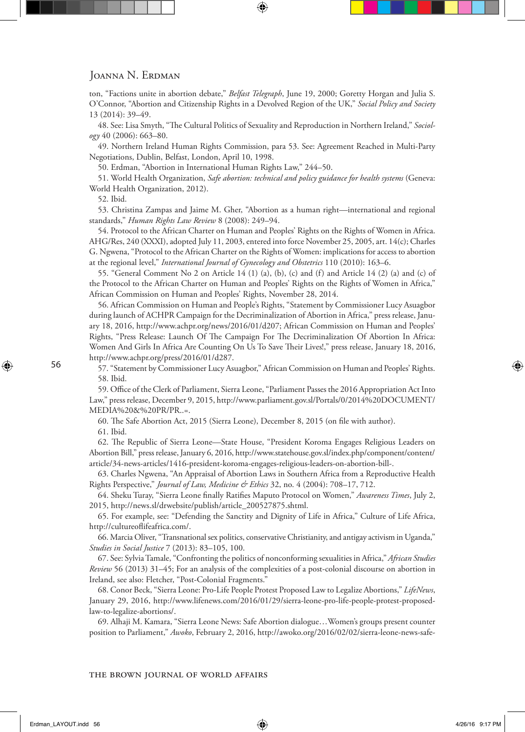#### JOANNA N. ERDMAN

ton, "Factions unite in abortion debate," *Belfast Telegraph*, June 19, 2000; Goretty Horgan and Julia S. O'Connor, "Abortion and Citizenship Rights in a Devolved Region of the UK," *Social Policy and Society*  13 (2014): 39–49.

48. See: Lisa Smyth, "The Cultural Politics of Sexuality and Reproduction in Northern Ireland," *Sociology* 40 (2006): 663–80.

49. Northern Ireland Human Rights Commission, para 53. See: Agreement Reached in Multi-Party Negotiations, Dublin, Belfast, London, April 10, 1998.

50. Erdman, "Abortion in International Human Rights Law," 244–50.

51. World Health Organization, *Safe abortion: technical and policy guidance for health systems* (Geneva: World Health Organization, 2012).

52. Ibid.

53. Christina Zampas and Jaime M. Gher, "Abortion as a human right—international and regional standards," *Human Rights Law Review* 8 (2008): 249–94.

54. Protocol to the African Charter on Human and Peoples' Rights on the Rights of Women in Africa. AHG/Res, 240 (XXXI), adopted July 11, 2003, entered into force November 25, 2005, art. 14(c); Charles G. Ngwena, "Protocol to the African Charter on the Rights of Women: implications for access to abortion at the regional level," *International Journal of Gynecology and Obstetrics* 110 (2010): 163–6.

55. "General Comment No 2 on Article 14 (1) (a), (b), (c) and (f) and Article 14 (2) (a) and (c) of the Protocol to the African Charter on Human and Peoples' Rights on the Rights of Women in Africa," African Commission on Human and Peoples' Rights, November 28, 2014.

56. African Commission on Human and People's Rights, "Statement by Commissioner Lucy Asuagbor during launch of ACHPR Campaign for the Decriminalization of Abortion in Africa," press release, January 18, 2016, http://www.achpr.org/news/2016/01/d207; African Commission on Human and Peoples' Rights, "Press Release: Launch Of The Campaign For The Decriminalization Of Abortion In Africa: Women And Girls In Africa Are Counting On Us To Save Their Lives!," press release, January 18, 2016, http://www.achpr.org/press/2016/01/d287.

57. "Statement by Commissioner Lucy Asuagbor," African Commission on Human and Peoples' Rights. 58. Ibid.

59. Office of the Clerk of Parliament, Sierra Leone, "Parliament Passes the 2016 Appropriation Act Into Law," press release, December 9, 2015, http://www.parliament.gov.sl/Portals/0/2014%20DOCUMENT/ MEDIA%20&%20PR/PR..=.

60. The Safe Abortion Act, 2015 (Sierra Leone), December 8, 2015 (on file with author).

61. Ibid.

62. The Republic of Sierra Leone—State House, "President Koroma Engages Religious Leaders on Abortion Bill," press release, January 6, 2016, http://www.statehouse.gov.sl/index.php/component/content/ article/34-news-articles/1416-president-koroma-engages-religious-leaders-on-abortion-bill-.

63. Charles Ngwena, "An Appraisal of Abortion Laws in Southern Africa from a Reproductive Health Rights Perspective," *Journal of Law, Medicine & Ethics* 32, no. 4 (2004): 708–17, 712.

64. Sheku Turay, "Sierra Leone finally Ratifies Maputo Protocol on Women," *Awareness Times*, July 2, 2015, http://news.sl/drwebsite/publish/article\_200527875.shtml.

65. For example, see: "Defending the Sanctity and Dignity of Life in Africa," Culture of Life Africa, http://cultureoflifeafrica.com/.

66. Marcia Oliver, "Transnational sex politics, conservative Christianity, and antigay activism in Uganda," *Studies in Social Justice* 7 (2013): 83–105, 100.

67. See: Sylvia Tamale, "Confronting the politics of nonconforming sexualities in Africa," *African Studies Review* 56 (2013) 31–45; For an analysis of the complexities of a post-colonial discourse on abortion in Ireland, see also: Fletcher, "Post-Colonial Fragments."

68. Conor Beck, "Sierra Leone: Pro-Life People Protest Proposed Law to Legalize Abortions," *LifeNews*, January 29, 2016, http://www.lifenews.com/2016/01/29/sierra-leone-pro-life-people-protest-proposedlaw-to-legalize-abortions/.

69. Alhaji M. Kamara, "Sierra Leone News: Safe Abortion dialogue…Women's groups present counter position to Parliament," *Awoko*, February 2, 2016, http://awoko.org/2016/02/02/sierra-leone-news-safe-